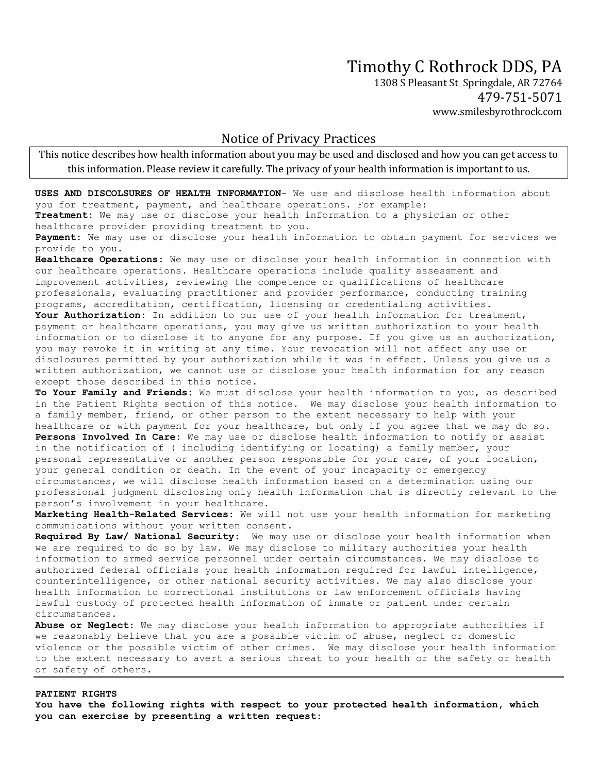## Timothy C Rothrock DDS, PA

1308 S Pleasant St Springdale, AR 72764 479-751-5071 www.smilesbyrothrock.com

## Notice of Privacy Practices

This notice describes how health information about you may be used and disclosed and how you can get access to this information. Please review it carefully. The privacy of your health information is important to us.

**USES AND DISCOLSURES OF HEALTH INFORMATION**- We use and disclose health information about you for treatment, payment, and healthcare operations. For example:

**Treatment:** We may use or disclose your health information to a physician or other healthcare provider providing treatment to you.

**Payment:** We may use or disclose your health information to obtain payment for services we provide to you.

**Healthcare Operations:** We may use or disclose your health information in connection with our healthcare operations. Healthcare operations include quality assessment and improvement activities, reviewing the competence or qualifications of healthcare professionals, evaluating practitioner and provider performance, conducting training programs, accreditation, certification, licensing or credentialing activities.

**Your Authorization:** In addition to our use of your health information for treatment, payment or healthcare operations, you may give us written authorization to your health information or to disclose it to anyone for any purpose. If you give us an authorization, you may revoke it in writing at any time. Your revocation will not affect any use or disclosures permitted by your authorization while it was in effect. Unless you give us a written authorization, we cannot use or disclose your health information for any reason except those described in this notice.

**To Your Family and Friends:** We must disclose your health information to you, as described in the Patient Rights section of this notice. We may disclose your health information to a family member, friend, or other person to the extent necessary to help with your healthcare or with payment for your healthcare, but only if you agree that we may do so. **Persons Involved In Care:** We may use or disclose health information to notify or assist in the notification of ( including identifying or locating) a family member, your personal representative or another person responsible for your care, of your location, your general condition or death. In the event of your incapacity or emergency circumstances, we will disclose health information based on a determination using our professional judgment disclosing only health information that is directly relevant to the person's involvement in your healthcare.

**Marketing Health-Related Services:** We will not use your health information for marketing communications without your written consent.

**Required By Law/ National Security:** We may use or disclose your health information when we are required to do so by law. We may disclose to military authorities your health information to armed service personnel under certain circumstances. We may disclose to authorized federal officials your health information required for lawful intelligence, counterintelligence, or other national security activities. We may also disclose your health information to correctional institutions or law enforcement officials having lawful custody of protected health information of inmate or patient under certain circumstances.

**Abuse or Neglect:** We may disclose your health information to appropriate authorities if we reasonably believe that you are a possible victim of abuse, neglect or domestic violence or the possible victim of other crimes. We may disclose your health information to the extent necessary to avert a serious threat to your health or the safety or health or safety of others.

## **PATIENT RIGHTS**

**You have the following rights with respect to your protected health information, which you can exercise by presenting a written request:**